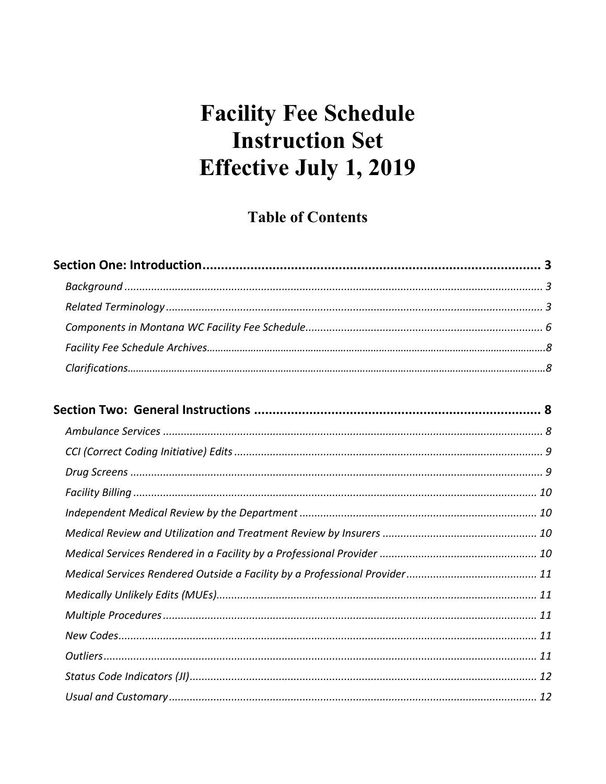# **Table of Contents**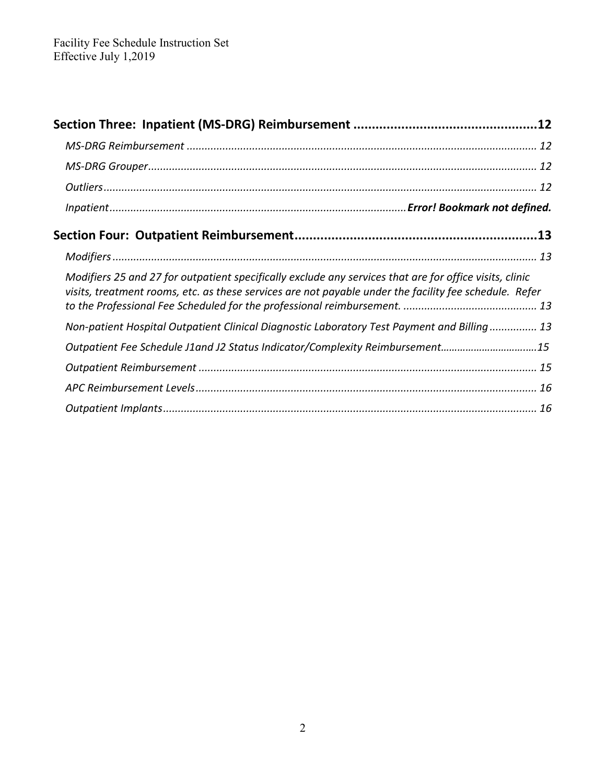| Modifiers 25 and 27 for outpatient specifically exclude any services that are for office visits, clinic<br>visits, treatment rooms, etc. as these services are not payable under the facility fee schedule. Refer |  |
|-------------------------------------------------------------------------------------------------------------------------------------------------------------------------------------------------------------------|--|
| Non-patient Hospital Outpatient Clinical Diagnostic Laboratory Test Payment and Billing 13                                                                                                                        |  |
| Outpatient Fee Schedule J1and J2 Status Indicator/Complexity Reimbursement15                                                                                                                                      |  |
|                                                                                                                                                                                                                   |  |
|                                                                                                                                                                                                                   |  |
|                                                                                                                                                                                                                   |  |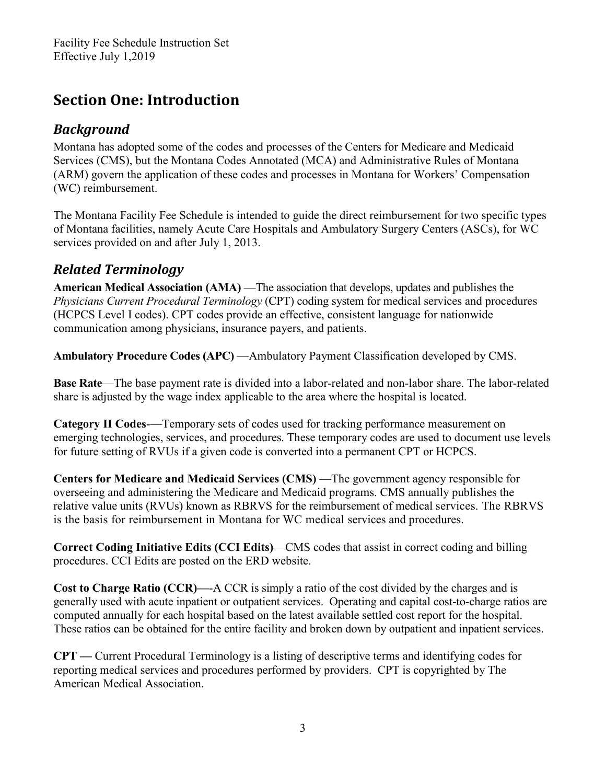# <span id="page-2-0"></span>**Section One: Introduction**

### <span id="page-2-1"></span>*Background*

Montana has adopted some of the codes and processes of the Centers for Medicare and Medicaid Services (CMS), but the Montana Codes Annotated (MCA) and Administrative Rules of Montana (ARM) govern the application of these codes and processes in Montana for Workers' Compensation (WC) reimbursement.

The Montana Facility Fee Schedule is intended to guide the direct reimbursement for two specific types of Montana facilities, namely Acute Care Hospitals and Ambulatory Surgery Centers (ASCs), for WC services provided on and after July 1, 2013.

# <span id="page-2-2"></span>*Related Terminology*

**American Medical Association (AMA)** —The association that develops, updates and publishes the *Physicians Current Procedural Terminology* (CPT) coding system for medical services and procedures (HCPCS Level I codes). CPT codes provide an effective, consistent language for nationwide communication among physicians, insurance payers, and patients.

**Ambulatory Procedure Codes (APC)** —Ambulatory Payment Classification developed by CMS.

**Base Rate**—The base payment rate is divided into a labor-related and non-labor share. The labor-related share is adjusted by the wage index applicable to the area where the hospital is located.

**Category II Codes**-—Temporary sets of codes used for tracking performance measurement on emerging technologies, services, and procedures. These temporary codes are used to document use levels for future setting of RVUs if a given code is converted into a permanent CPT or HCPCS.

**Centers for Medicare and Medicaid Services (CMS)** —The government agency responsible for overseeing and administering the Medicare and Medicaid programs. CMS annually publishes the relative value units (RVUs) known as RBRVS for the reimbursement of medical services. The RBRVS is the basis for reimbursement in Montana for WC medical services and procedures.

**Correct Coding Initiative Edits (CCI Edits)**—CMS codes that assist in correct coding and billing procedures. CCI Edits are posted on the ERD website.

**Cost to Charge Ratio (CCR)—**-A CCR is simply a ratio of the cost divided by the charges and is generally used with acute inpatient or outpatient services. Operating and capital cost-to-charge ratios are computed annually for each hospital based on the latest available settled cost report for the hospital. These ratios can be obtained for the entire facility and broken down by outpatient and inpatient services.

**CPT —** Current Procedural Terminology is a listing of descriptive terms and identifying codes for reporting medical services and procedures performed by providers. CPT is copyrighted by The American Medical Association.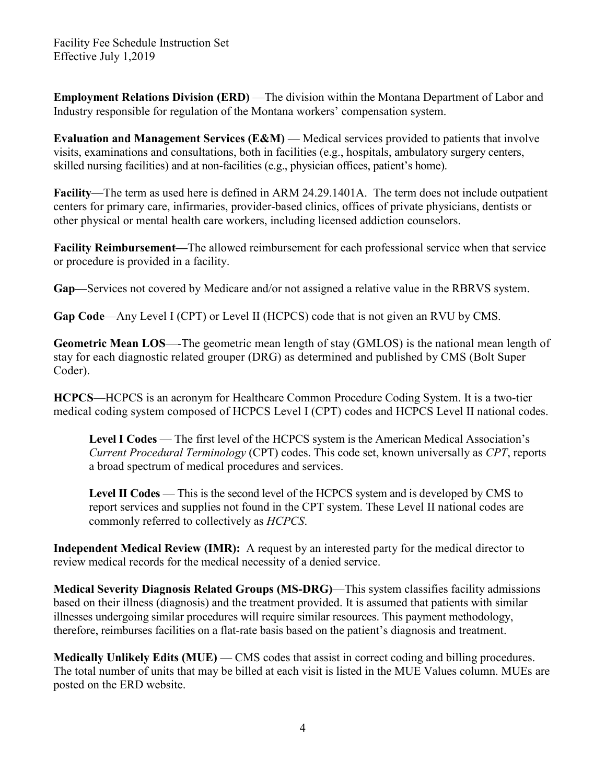**Employment Relations Division (ERD)** — The division within the Montana Department of Labor and Industry responsible for regulation of the Montana workers' compensation system.

**Evaluation and Management Services (E&M)** — Medical services provided to patients that involve visits, examinations and consultations, both in facilities (e.g., hospitals, ambulatory surgery centers, skilled nursing facilities) and at non-facilities (e.g., physician offices, patient's home).

**Facility**—The term as used here is defined in ARM 24.29.1401A. The term does not include outpatient centers for primary care, infirmaries, provider-based clinics, offices of private physicians, dentists or other physical or mental health care workers, including licensed addiction counselors.

**Facility Reimbursement—**The allowed reimbursement for each professional service when that service or procedure is provided in a facility.

**Gap—**Services not covered by Medicare and/or not assigned a relative value in the RBRVS system.

**Gap Code**—Any Level I (CPT) or Level II (HCPCS) code that is not given an RVU by CMS.

**Geometric Mean LOS**—-The geometric mean length of stay (GMLOS) is the national mean length of stay for each diagnostic related grouper (DRG) as determined and published by CMS (Bolt Super Coder).

**HCPCS**—HCPCS is an acronym for Healthcare Common Procedure Coding System. It is a two-tier medical coding system composed of HCPCS Level I (CPT) codes and HCPCS Level II national codes.

**Level I Codes** — The first level of the HCPCS system is the American Medical Association's *Current Procedural Terminology* (CPT) codes. This code set, known universally as *CPT*, reports a broad spectrum of medical procedures and services.

**Level II Codes** — This is the second level of the HCPCS system and is developed by CMS to report services and supplies not found in the CPT system. These Level II national codes are commonly referred to collectively as *HCPCS*.

**Independent Medical Review (IMR):** A request by an interested party for the medical director to review medical records for the medical necessity of a denied service.

**Medical Severity Diagnosis Related Groups (MS-DRG)**—This system classifies facility admissions based on their illness (diagnosis) and the treatment provided. It is assumed that patients with similar illnesses undergoing similar procedures will require similar resources. This payment methodology, therefore, reimburses facilities on a flat-rate basis based on the patient's diagnosis and treatment.

**Medically Unlikely Edits (MUE)** — CMS codes that assist in correct coding and billing procedures. The total number of units that may be billed at each visit is listed in the MUE Values column. MUEs are posted on the ERD website.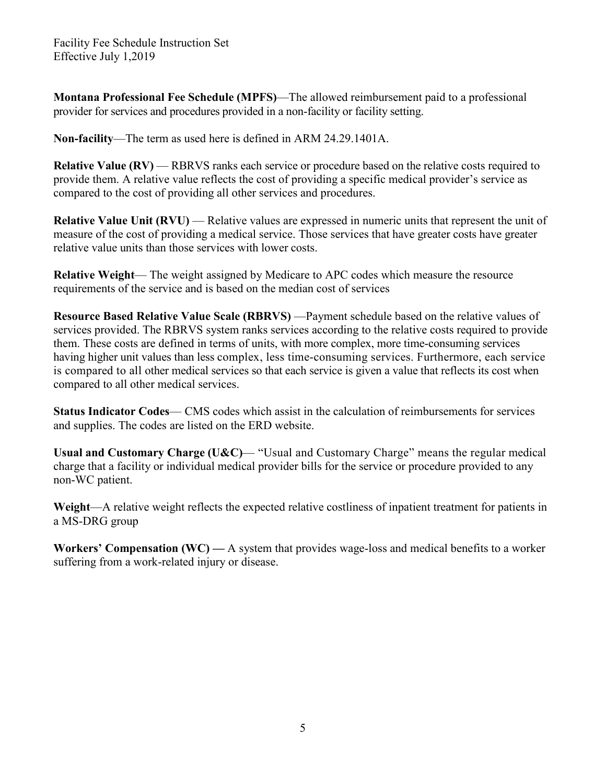**Montana Professional Fee Schedule (MPFS)**—The allowed reimbursement paid to a professional provider for services and procedures provided in a non-facility or facility setting.

**Non-facility**—The term as used here is defined in ARM 24.29.1401A.

**Relative Value (RV) — RBRVS** ranks each service or procedure based on the relative costs required to provide them. A relative value reflects the cost of providing a specific medical provider's service as compared to the cost of providing all other services and procedures.

**Relative Value Unit (RVU) — Relative values are expressed in numeric units that represent the unit of** measure of the cost of providing a medical service. Those services that have greater costs have greater relative value units than those services with lower costs.

**Relative Weight**— The weight assigned by Medicare to APC codes which measure the resource requirements of the service and is based on the median cost of services

**Resource Based Relative Value Scale (RBRVS)** —Payment schedule based on the relative values of services provided. The RBRVS system ranks services according to the relative costs required to provide them. These costs are defined in terms of units, with more complex, more time-consuming services having higher unit values than less complex, less time-consuming services. Furthermore, each service is compared to all other medical services so that each service is given a value that reflects its cost when compared to all other medical services.

**Status Indicator Codes**— CMS codes which assist in the calculation of reimbursements for services and supplies. The codes are listed on the ERD website.

**Usual and Customary Charge (U&C)**— "Usual and Customary Charge" means the regular medical charge that a facility or individual medical provider bills for the service or procedure provided to any non-WC patient.

**Weight**—A relative weight reflects the expected relative costliness of inpatient treatment for patients in a MS-DRG group

**Workers' Compensation (WC) —** A system that provides wage-loss and medical benefits to a worker suffering from a work-related injury or disease.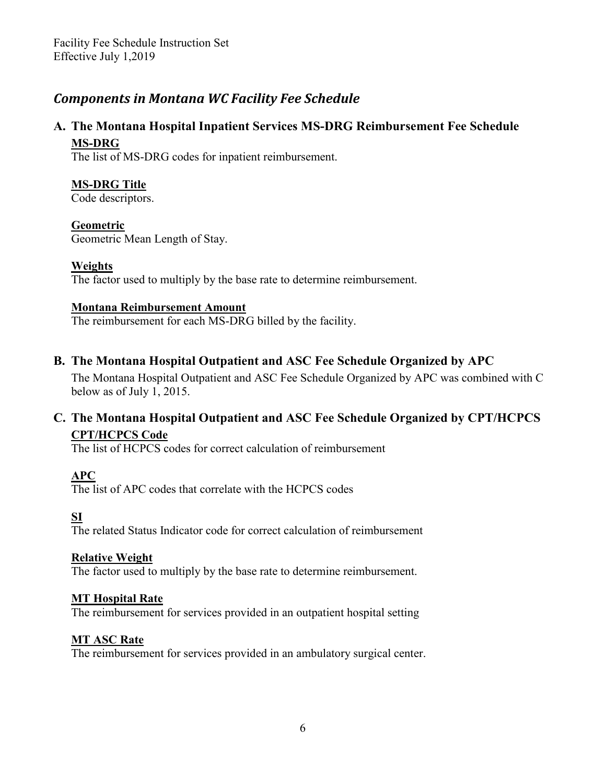### <span id="page-5-0"></span>*Components in Montana WC Facility Fee Schedule*

#### **A. The Montana Hospital Inpatient Services MS-DRG Reimbursement Fee Schedule MS-DRG**

The list of MS-DRG codes for inpatient reimbursement.

#### **MS-DRG Title**

Code descriptors.

#### **Geometric**

Geometric Mean Length of Stay.

#### **Weights**

The factor used to multiply by the base rate to determine reimbursement.

#### **Montana Reimbursement Amount**

The reimbursement for each MS-DRG billed by the facility.

#### **B. The Montana Hospital Outpatient and ASC Fee Schedule Organized by APC**

The Montana Hospital Outpatient and ASC Fee Schedule Organized by APC was combined with C below as of July 1, 2015.

#### **C. The Montana Hospital Outpatient and ASC Fee Schedule Organized by CPT/HCPCS CPT/HCPCS Code**

The list of HCPCS codes for correct calculation of reimbursement

#### **APC**

The list of APC codes that correlate with the HCPCS codes

#### **SI**

The related Status Indicator code for correct calculation of reimbursement

#### **Relative Weight**

The factor used to multiply by the base rate to determine reimbursement.

#### **MT Hospital Rate**

The reimbursement for services provided in an outpatient hospital setting

#### **MT ASC Rate**

The reimbursement for services provided in an ambulatory surgical center.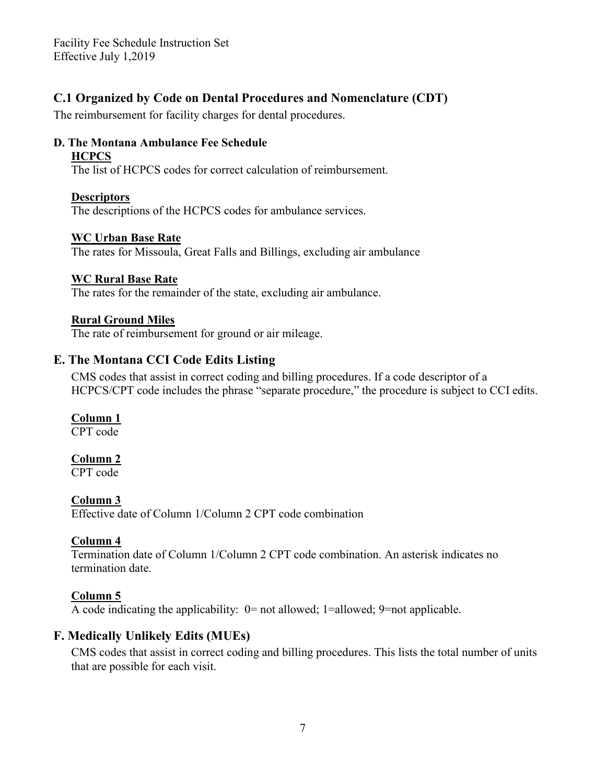#### **C.1 Organized by Code on Dental Procedures and Nomenclature (CDT)**

The reimbursement for facility charges for dental procedures.

#### **D. The Montana Ambulance Fee Schedule HCPCS**

The list of HCPCS codes for correct calculation of reimbursement.

#### **Descriptors**

The descriptions of the HCPCS codes for ambulance services.

#### **WC Urban Base Rate**

The rates for Missoula, Great Falls and Billings, excluding air ambulance

#### **WC Rural Base Rate**

The rates for the remainder of the state, excluding air ambulance.

#### **Rural Ground Miles**

The rate of reimbursement for ground or air mileage.

#### **E. The Montana CCI Code Edits Listing**

CMS codes that assist in correct coding and billing procedures. If a code descriptor of a HCPCS/CPT code includes the phrase "separate procedure," the procedure is subject to CCI edits.

#### **Column 1**

CPT code

#### **Column 2**

CPT code

#### **Column 3**

Effective date of Column 1/Column 2 CPT code combination

#### **Column 4**

Termination date of Column 1/Column 2 CPT code combination. An asterisk indicates no termination date.

#### **Column 5**

A code indicating the applicability: 0= not allowed; 1=allowed; 9=not applicable.

#### **F. Medically Unlikely Edits (MUEs)**

CMS codes that assist in correct coding and billing procedures. This lists the total number of units that are possible for each visit.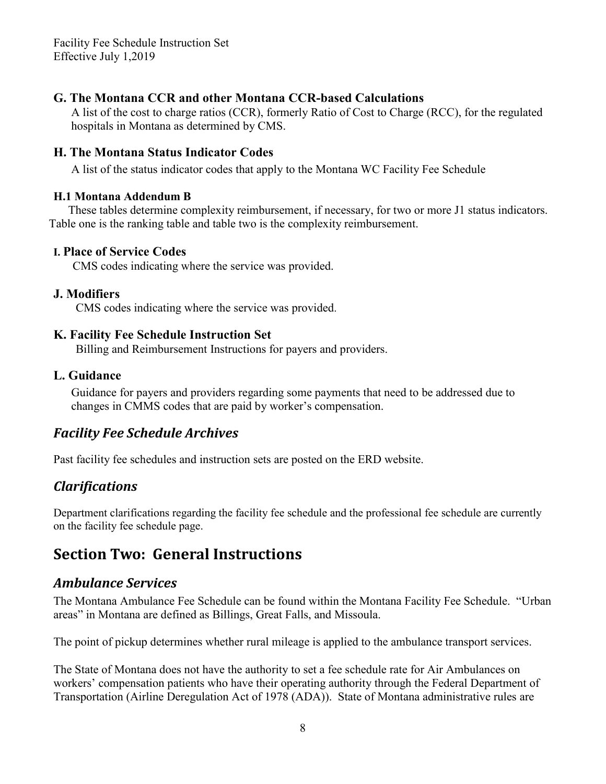#### **G. The Montana CCR and other Montana CCR-based Calculations**

A list of the cost to charge ratios (CCR), formerly Ratio of Cost to Charge (RCC), for the regulated hospitals in Montana as determined by CMS.

#### **H. The Montana Status Indicator Codes**

A list of the status indicator codes that apply to the Montana WC Facility Fee Schedule

#### **H.1 Montana Addendum B**

These tables determine complexity reimbursement, if necessary, for two or more J1 status indicators. Table one is the ranking table and table two is the complexity reimbursement.

#### **I. Place of Service Codes**

CMS codes indicating where the service was provided.

#### **J. Modifiers**

CMS codes indicating where the service was provided.

#### **K. Facility Fee Schedule Instruction Set**

Billing and Reimbursement Instructions for payers and providers.

#### **L. Guidance**

 Guidance for payers and providers regarding some payments that need to be addressed due to changes in CMMS codes that are paid by worker's compensation.

### *[Facility](http://erd.dli.mt.gov/workers-comp-claims-assistance/medical-regulations/montana-facility-fee-schedule/19-erd/workers-comp-study-project/269-montana-facility-fee-schedule-archives.html) Fee Schedule Archives*

Past facility fee schedules and instruction sets are posted on the ERD website.

### *Clarifications*

Department clarifications regarding the facility fee schedule and the professional fee schedule are currently on the facility fee schedule page.

# <span id="page-7-0"></span>**Section Two: General Instructions**

### <span id="page-7-1"></span>*Ambulance Services*

The Montana Ambulance Fee Schedule can be found within the Montana Facility Fee Schedule. "Urban areas" in Montana are defined as Billings, Great Falls, and Missoula.

The point of pickup determines whether rural mileage is applied to the ambulance transport services.

The State of Montana does not have the authority to set a fee schedule rate for Air Ambulances on workers' compensation patients who have their operating authority through the Federal Department of Transportation (Airline Deregulation Act of 1978 (ADA)). State of Montana administrative rules are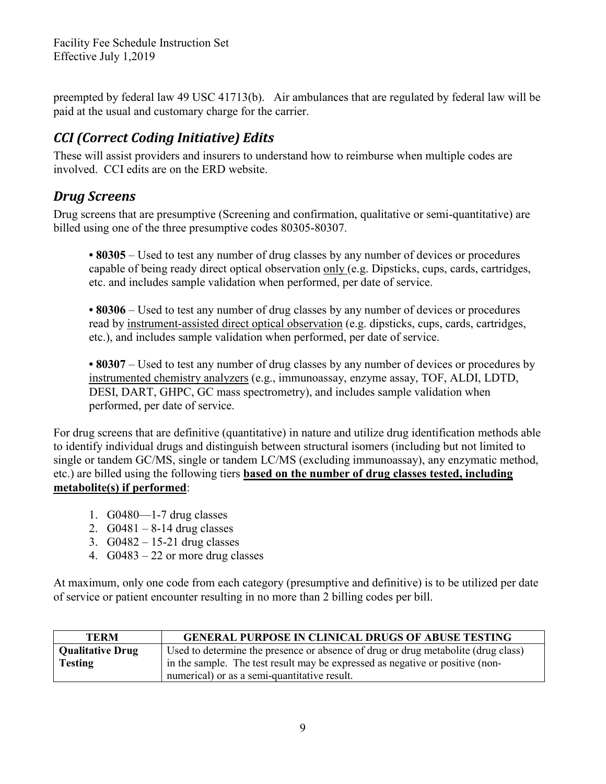preempted by federal law 49 USC 41713(b). Air ambulances that are regulated by federal law will be paid at the usual and customary charge for the carrier.

# <span id="page-8-0"></span>*CCI (Correct Coding Initiative) Edits*

These will assist providers and insurers to understand how to reimburse when multiple codes are involved. CCI edits are on the ERD website.

### <span id="page-8-1"></span>*Drug Screens*

Drug screens that are presumptive (Screening and confirmation, qualitative or semi-quantitative) are billed using one of the three presumptive codes 80305-80307.

**• 80305** – Used to test any number of drug classes by any number of devices or procedures capable of being ready direct optical observation only (e.g. Dipsticks, cups, cards, cartridges, etc. and includes sample validation when performed, per date of service.

**• 80306** – Used to test any number of drug classes by any number of devices or procedures read by instrument-assisted direct optical observation (e.g. dipsticks, cups, cards, cartridges, etc.), and includes sample validation when performed, per date of service.

• 80307 – Used to test any number of drug classes by any number of devices or procedures by instrumented chemistry analyzers (e.g., immunoassay, enzyme assay, TOF, ALDI, LDTD, DESI, DART, GHPC, GC mass spectrometry), and includes sample validation when performed, per date of service.

For drug screens that are definitive (quantitative) in nature and utilize drug identification methods able to identify individual drugs and distinguish between structural isomers (including but not limited to single or tandem GC/MS, single or tandem LC/MS (excluding immunoassay), any enzymatic method, etc.) are billed using the following tiers **based on the number of drug classes tested, including metabolite(s) if performed**:

- 1. G0480—1-7 drug classes
- 2.  $G0481 8-14$  drug classes
- 3. G0482 15-21 drug classes
- 4.  $G0483 22$  or more drug classes

At maximum, only one code from each category (presumptive and definitive) is to be utilized per date of service or patient encounter resulting in no more than 2 billing codes per bill.

| <b>TERM</b>                               | <b>GENERAL PURPOSE IN CLINICAL DRUGS OF ABUSE TESTING</b>                                                                                                          |
|-------------------------------------------|--------------------------------------------------------------------------------------------------------------------------------------------------------------------|
| <b>Qualitative Drug</b><br><b>Testing</b> | Used to determine the presence or absence of drug or drug metabolite (drug class)<br>in the sample. The test result may be expressed as negative or positive (non- |
|                                           | numerical) or as a semi-quantitative result.                                                                                                                       |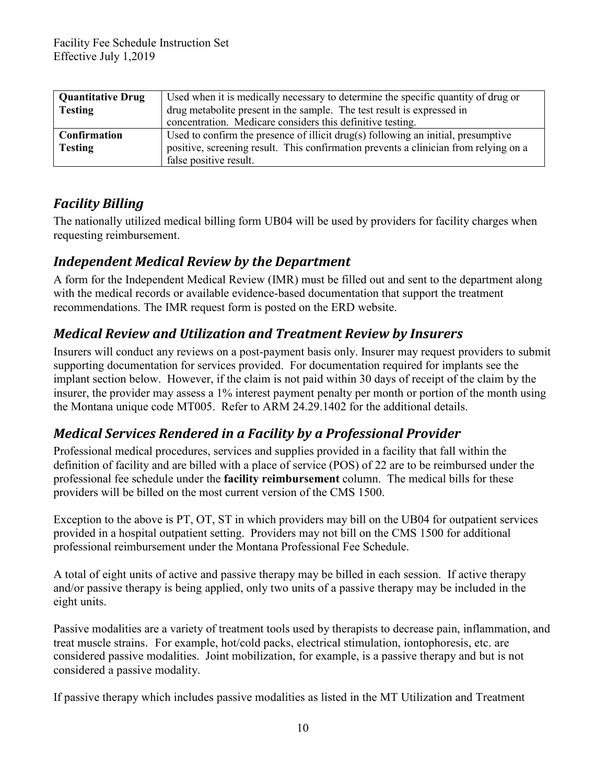| <b>Quantitative Drug</b> | Used when it is medically necessary to determine the specific quantity of drug or    |  |
|--------------------------|--------------------------------------------------------------------------------------|--|
| <b>Testing</b>           | drug metabolite present in the sample. The test result is expressed in               |  |
|                          | concentration. Medicare considers this definitive testing.                           |  |
| <b>Confirmation</b>      | Used to confirm the presence of illicit drug(s) following an initial, presumptive    |  |
| <b>Testing</b>           | positive, screening result. This confirmation prevents a clinician from relying on a |  |
|                          | false positive result.                                                               |  |

# <span id="page-9-0"></span>*Facility Billing*

The nationally utilized medical billing form UB04 will be used by providers for facility charges when requesting reimbursement.

### <span id="page-9-1"></span>*Independent Medical Review by the Department*

A form for the Independent Medical Review (IMR) must be filled out and sent to the department along with the medical records or available evidence-based documentation that support the treatment recommendations. The IMR request form is posted on the ERD website.

# <span id="page-9-2"></span>*Medical Review and Utilization and Treatment Review by Insurers*

Insurers will conduct any reviews on a post-payment basis only. Insurer may request providers to submit supporting documentation for services provided. For documentation required for implants see the implant section below. However, if the claim is not paid within 30 days of receipt of the claim by the insurer, the provider may assess a 1% interest payment penalty per month or portion of the month using the Montana unique code MT005. Refer to ARM 24.29.1402 for the additional details.

# <span id="page-9-3"></span>*Medical Services Rendered in a Facility by a Professional Provider*

Professional medical procedures, services and supplies provided in a facility that fall within the definition of facility and are billed with a place of service (POS) of 22 are to be reimbursed under the professional fee schedule under the **facility reimbursement** column. The medical bills for these providers will be billed on the most current version of the CMS 1500.

Exception to the above is PT, OT, ST in which providers may bill on the UB04 for outpatient services provided in a hospital outpatient setting. Providers may not bill on the CMS 1500 for additional professional reimbursement under the Montana Professional Fee Schedule.

A total of eight units of active and passive therapy may be billed in each session. If active therapy and/or passive therapy is being applied, only two units of a passive therapy may be included in the eight units.

Passive modalities are a variety of treatment tools used by therapists to decrease pain, inflammation, and treat muscle strains. For example, hot/cold packs, electrical stimulation, iontophoresis, etc. are considered passive modalities. Joint mobilization, for example, is a passive therapy and but is not considered a passive modality.

If passive therapy which includes passive modalities as listed in the MT Utilization and Treatment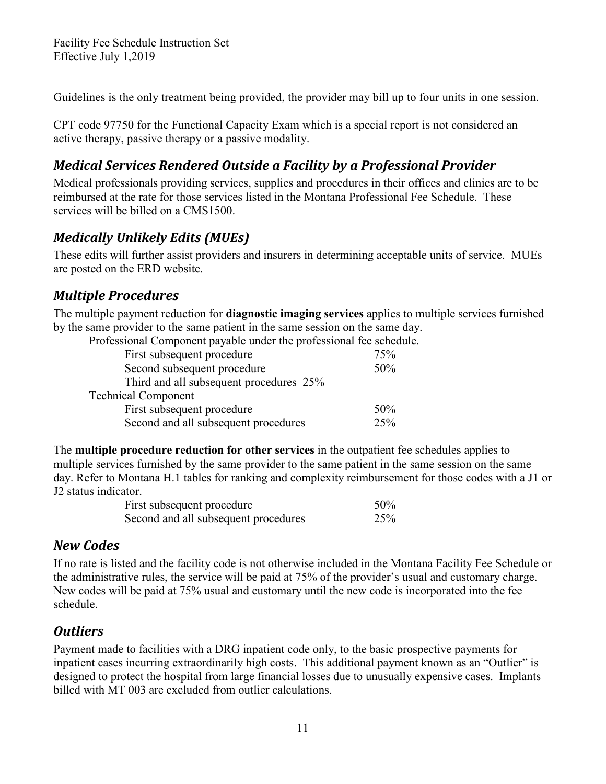Guidelines is the only treatment being provided, the provider may bill up to four units in one session.

CPT code 97750 for the Functional Capacity Exam which is a special report is not considered an active therapy, passive therapy or a passive modality.

# <span id="page-10-0"></span>*Medical Services Rendered Outside a Facility by a Professional Provider*

Medical professionals providing services, supplies and procedures in their offices and clinics are to be reimbursed at the rate for those services listed in the Montana Professional Fee Schedule. These services will be billed on a CMS1500.

# <span id="page-10-1"></span>*Medically Unlikely Edits (MUEs)*

These edits will further assist providers and insurers in determining acceptable units of service. MUEs are posted on the ERD website.

### <span id="page-10-2"></span>*Multiple Procedures*

The multiple payment reduction for **diagnostic imaging services** applies to multiple services furnished by the same provider to the same patient in the same session on the same day.

| Professional Component payable under the professional fee schedule. |  |  |  |
|---------------------------------------------------------------------|--|--|--|
|                                                                     |  |  |  |

| 75% |
|-----|
| 50% |
|     |
|     |
| 50% |
| 25% |
|     |

The **multiple procedure reduction for other services** in the outpatient fee schedules applies to multiple services furnished by the same provider to the same patient in the same session on the same day. Refer to Montana H.1 tables for ranking and complexity reimbursement for those codes with a J1 or J2 status indicator.

| First subsequent procedure           | 50% |
|--------------------------------------|-----|
| Second and all subsequent procedures | 25% |

### <span id="page-10-3"></span>*New Codes*

If no rate is listed and the facility code is not otherwise included in the Montana Facility Fee Schedule or the administrative rules, the service will be paid at 75% of the provider's usual and customary charge. New codes will be paid at 75% usual and customary until the new code is incorporated into the fee schedule.

# <span id="page-10-4"></span>*Outliers*

Payment made to facilities with a DRG inpatient code only, to the basic prospective payments for inpatient cases incurring extraordinarily high costs. This additional payment known as an "Outlier" is designed to protect the hospital from large financial losses due to unusually expensive cases. Implants billed with MT 003 are excluded from outlier calculations.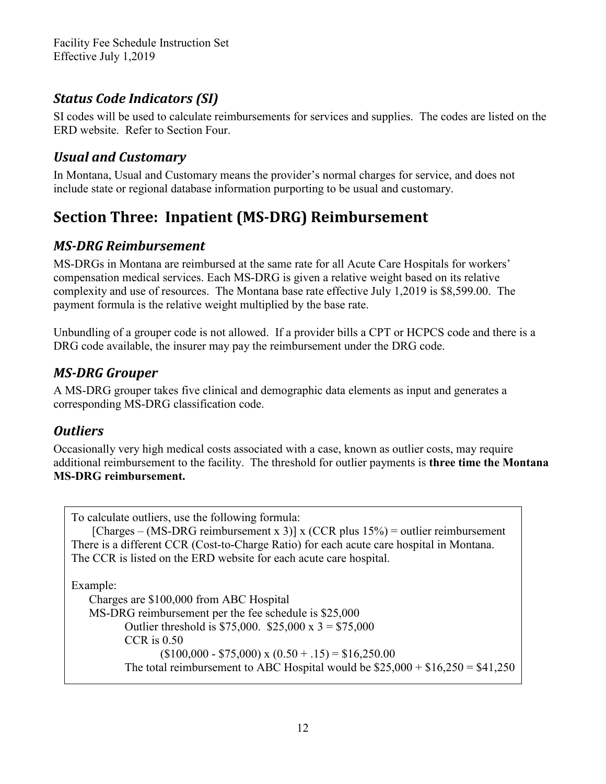# <span id="page-11-0"></span>*Status Code Indicators (SI)*

SI codes will be used to calculate reimbursements for services and supplies. The codes are listed on the ERD website. Refer to Section Four.

# <span id="page-11-1"></span>*Usual and Customary*

In Montana, Usual and Customary means the provider's normal charges for service, and does not include state or regional database information purporting to be usual and customary.

# <span id="page-11-2"></span>**Section Three: Inpatient (MS-DRG) Reimbursement**

# <span id="page-11-3"></span>*MS-DRG Reimbursement*

MS-DRGs in Montana are reimbursed at the same rate for all Acute Care Hospitals for workers' compensation medical services. Each MS-DRG is given a relative weight based on its relative complexity and use of resources. The Montana base rate effective July 1,2019 is \$8,599.00. The payment formula is the relative weight multiplied by the base rate.

Unbundling of a grouper code is not allowed. If a provider bills a CPT or HCPCS code and there is a DRG code available, the insurer may pay the reimbursement under the DRG code.

### <span id="page-11-4"></span>*MS-DRG Grouper*

A MS-DRG grouper takes five clinical and demographic data elements as input and generates a corresponding MS-DRG classification code.

### <span id="page-11-5"></span>*Outliers*

Occasionally very high medical costs associated with a case, known as outlier costs, may require additional reimbursement to the facility. The threshold for outlier payments is **three time the Montana MS-DRG reimbursement.**

To calculate outliers, use the following formula: [Charges – (MS-DRG reimbursement x 3)] x (CCR plus  $15\%$ ) = outlier reimbursement There is a different CCR (Cost-to-Charge Ratio) for each acute care hospital in Montana. The CCR is listed on the ERD website for each acute care hospital. Example:

Charges are \$100,000 from ABC Hospital MS-DRG reimbursement per the fee schedule is \$25,000 Outlier threshold is \$75,000. \$25,000 x  $3 = $75,000$ CCR is 0.50  $($100,000 - $75,000) \times (0.50 + .15) = $16,250.00$ The total reimbursement to ABC Hospital would be  $$25,000 + $16,250 = $41,250$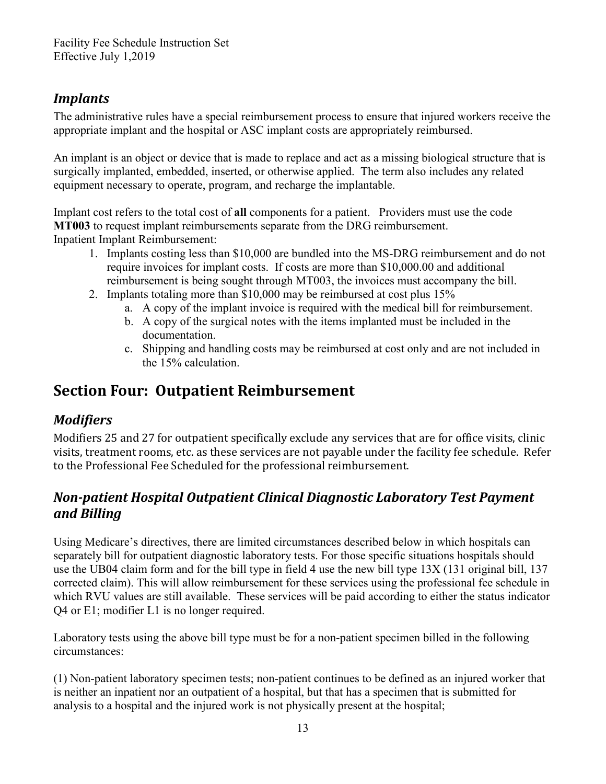# *Implants*

The administrative rules have a special reimbursement process to ensure that injured workers receive the appropriate implant and the hospital or ASC implant costs are appropriately reimbursed.

An implant is an object or device that is made to replace and act as a missing biological structure that is surgically implanted, embedded, inserted, or otherwise applied. The term also includes any related equipment necessary to operate, program, and recharge the implantable.

Implant cost refers to the total cost of **all** components for a patient. Providers must use the code **MT003** to request implant reimbursements separate from the DRG reimbursement. Inpatient Implant Reimbursement:

- 1. Implants costing less than \$10,000 are bundled into the MS-DRG reimbursement and do not require invoices for implant costs. If costs are more than \$10,000.00 and additional reimbursement is being sought through MT003, the invoices must accompany the bill.
- 2. Implants totaling more than \$10,000 may be reimbursed at cost plus 15%
	- a. A copy of the implant invoice is required with the medical bill for reimbursement.
	- b. A copy of the surgical notes with the items implanted must be included in the documentation.
	- c. Shipping and handling costs may be reimbursed at cost only and are not included in the 15% calculation.

# <span id="page-12-0"></span>**Section Four: Outpatient Reimbursement**

# <span id="page-12-1"></span>*Modifiers*

<span id="page-12-2"></span>Modifiers 25 and 27 for outpatient specifically exclude any services that are for office visits, clinic visits, treatment rooms, etc. as these services are not payable under the facility fee schedule. Refer to the Professional Fee Scheduled for the professional reimbursement.

# <span id="page-12-3"></span>*Non-patient Hospital Outpatient Clinical Diagnostic Laboratory Test Payment and Billing*

Using Medicare's directives, there are limited circumstances described below in which hospitals can separately bill for outpatient diagnostic laboratory tests. For those specific situations hospitals should use the UB04 claim form and for the bill type in field 4 use the new bill type 13X (131 original bill, 137 corrected claim). This will allow reimbursement for these services using the professional fee schedule in which RVU values are still available. These services will be paid according to either the status indicator Q4 or E1; modifier L1 is no longer required.

Laboratory tests using the above bill type must be for a non-patient specimen billed in the following circumstances:

(1) Non-patient laboratory specimen tests; non-patient continues to be defined as an injured worker that is neither an inpatient nor an outpatient of a hospital, but that has a specimen that is submitted for analysis to a hospital and the injured work is not physically present at the hospital;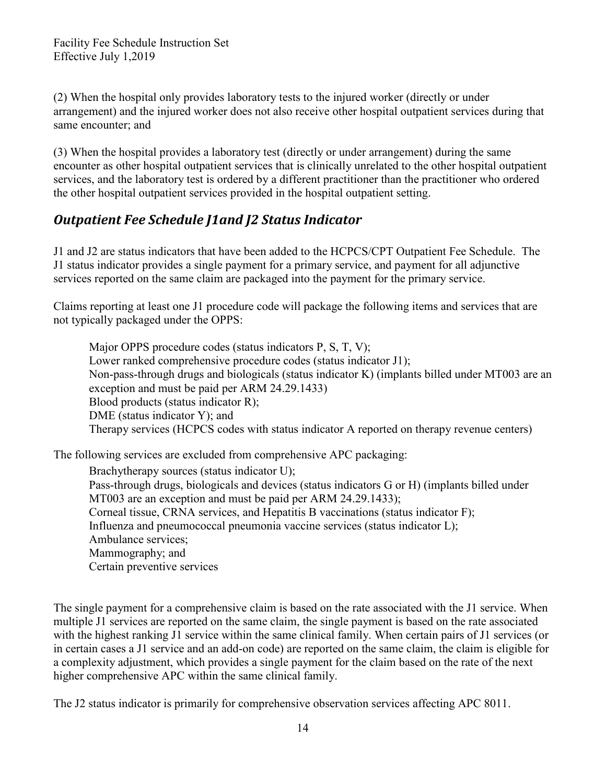(2) When the hospital only provides laboratory tests to the injured worker (directly or under arrangement) and the injured worker does not also receive other hospital outpatient services during that same encounter; and

(3) When the hospital provides a laboratory test (directly or under arrangement) during the same encounter as other hospital outpatient services that is clinically unrelated to the other hospital outpatient services, and the laboratory test is ordered by a different practitioner than the practitioner who ordered the other hospital outpatient services provided in the hospital outpatient setting.

### <span id="page-13-0"></span>*Outpatient Fee Schedule J1and J2 Status Indicator*

J1 and J2 are status indicators that have been added to the HCPCS/CPT Outpatient Fee Schedule. The J1 status indicator provides a single payment for a primary service, and payment for all adjunctive services reported on the same claim are packaged into the payment for the primary service.

Claims reporting at least one J1 procedure code will package the following items and services that are not typically packaged under the OPPS:

Major OPPS procedure codes (status indicators P, S, T, V); Lower ranked comprehensive procedure codes (status indicator J1); Non-pass-through drugs and biologicals (status indicator K) (implants billed under MT003 are an exception and must be paid per ARM 24.29.1433) Blood products (status indicator R); DME (status indicator Y); and Therapy services (HCPCS codes with status indicator A reported on therapy revenue centers)

The following services are excluded from comprehensive APC packaging:

Brachytherapy sources (status indicator U); Pass-through drugs, biologicals and devices (status indicators G or H) (implants billed under MT003 are an exception and must be paid per ARM 24.29.1433); Corneal tissue, CRNA services, and Hepatitis B vaccinations (status indicator F); Influenza and pneumococcal pneumonia vaccine services (status indicator L); Ambulance services; Mammography; and Certain preventive services

The single payment for a comprehensive claim is based on the rate associated with the J1 service. When multiple J1 services are reported on the same claim, the single payment is based on the rate associated with the highest ranking J1 service within the same clinical family. When certain pairs of J1 services (or in certain cases a J1 service and an add-on code) are reported on the same claim, the claim is eligible for a complexity adjustment, which provides a single payment for the claim based on the rate of the next higher comprehensive APC within the same clinical family.

The J2 status indicator is primarily for comprehensive observation services affecting APC 8011.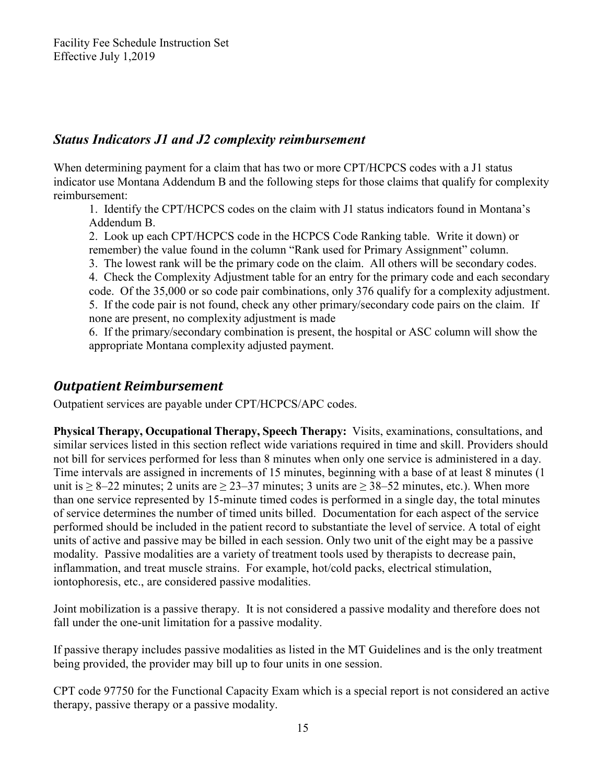#### *Status Indicators J1 and J2 complexity reimbursement*

When determining payment for a claim that has two or more CPT/HCPCS codes with a J1 status indicator use Montana Addendum B and the following steps for those claims that qualify for complexity reimbursement:

1. Identify the CPT/HCPCS codes on the claim with J1 status indicators found in Montana's Addendum B.

2. Look up each CPT/HCPCS code in the HCPCS Code Ranking table. Write it down) or remember) the value found in the column "Rank used for Primary Assignment" column.

3. The lowest rank will be the primary code on the claim. All others will be secondary codes. 4. Check the Complexity Adjustment table for an entry for the primary code and each secondary code. Of the 35,000 or so code pair combinations, only 376 qualify for a complexity adjustment. 5. If the code pair is not found, check any other primary/secondary code pairs on the claim. If none are present, no complexity adjustment is made

6. If the primary/secondary combination is present, the hospital or ASC column will show the appropriate Montana complexity adjusted payment.

### <span id="page-14-0"></span>*Outpatient Reimbursement*

Outpatient services are payable under CPT/HCPCS/APC codes.

**Physical Therapy, Occupational Therapy, Speech Therapy:** Visits, examinations, consultations, and similar services listed in this section reflect wide variations required in time and skill. Providers should not bill for services performed for less than 8 minutes when only one service is administered in a day. Time intervals are assigned in increments of 15 minutes, beginning with a base of at least 8 minutes (1 unit is  $\geq 8-22$  minutes; 2 units are  $\geq 23-37$  minutes; 3 units are  $\geq 38-52$  minutes, etc.). When more than one service represented by 15-minute timed codes is performed in a single day, the total minutes of service determines the number of timed units billed. Documentation for each aspect of the service performed should be included in the patient record to substantiate the level of service. A total of eight units of active and passive may be billed in each session. Only two unit of the eight may be a passive modality. Passive modalities are a variety of treatment tools used by therapists to decrease pain, inflammation, and treat muscle strains. For example, hot/cold packs, electrical stimulation, iontophoresis, etc., are considered passive modalities.

Joint mobilization is a passive therapy. It is not considered a passive modality and therefore does not fall under the one-unit limitation for a passive modality.

If passive therapy includes passive modalities as listed in the MT Guidelines and is the only treatment being provided, the provider may bill up to four units in one session.

CPT code 97750 for the Functional Capacity Exam which is a special report is not considered an active therapy, passive therapy or a passive modality.